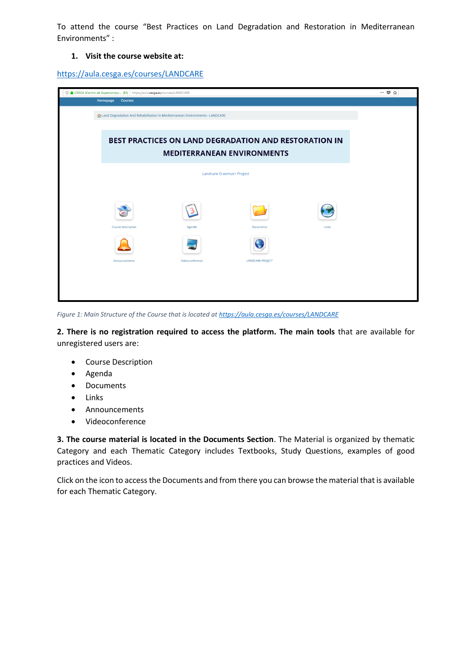To attend the course "Best Practices on Land Degradation and Restoration in Mediterranean Environments" :

## **1. Visit the course website at:**

<https://aula.cesga.es/courses/LANDCARE>

| 1 O ● CESGA (Centro de Supercompu (ES)   https://aula.cesga.es/courses/LANDCARE |                                                       | $\cdots \otimes \; \vartriangle$                                               |                         |       |  |  |  |
|---------------------------------------------------------------------------------|-------------------------------------------------------|--------------------------------------------------------------------------------|-------------------------|-------|--|--|--|
|                                                                                 | Homepage<br><b>Courses</b>                            |                                                                                |                         |       |  |  |  |
|                                                                                 |                                                       | A Land Degradation And Rehabilitation In Mediterranean Environments - LANDCARE |                         |       |  |  |  |
|                                                                                 |                                                       |                                                                                |                         |       |  |  |  |
|                                                                                 | BEST PRACTICES ON LAND DEGRADATION AND RESTORATION IN |                                                                                |                         |       |  |  |  |
|                                                                                 |                                                       |                                                                                |                         |       |  |  |  |
|                                                                                 |                                                       |                                                                                |                         |       |  |  |  |
|                                                                                 |                                                       |                                                                                |                         |       |  |  |  |
|                                                                                 |                                                       |                                                                                |                         |       |  |  |  |
|                                                                                 | Course description                                    | Agenda                                                                         | Documents               | Links |  |  |  |
|                                                                                 |                                                       |                                                                                |                         |       |  |  |  |
|                                                                                 | Announcements                                         | Videoconference                                                                | <b>LANDCARE PROJECT</b> |       |  |  |  |
|                                                                                 |                                                       |                                                                                |                         |       |  |  |  |
|                                                                                 |                                                       |                                                                                |                         |       |  |  |  |
|                                                                                 |                                                       |                                                                                |                         |       |  |  |  |

*Figure 1: Main Structure of the Course that is located a[t https://aula.cesga.es/courses/LANDCARE](https://aula.cesga.es/courses/LANDCARE)*

**2. There is no registration required to access the platform. The main tools** that are available for unregistered users are:

- **•** Course Description
- Agenda
- Documents
- Links
- Announcements
- Videoconference

**3. The course material is located in the Documents Section**. The Material is organized by thematic Category and each Thematic Category includes Textbooks, Study Questions, examples of good practices and Videos.

Click on the icon to access the Documents and from there you can browse the material that is available for each Thematic Category.